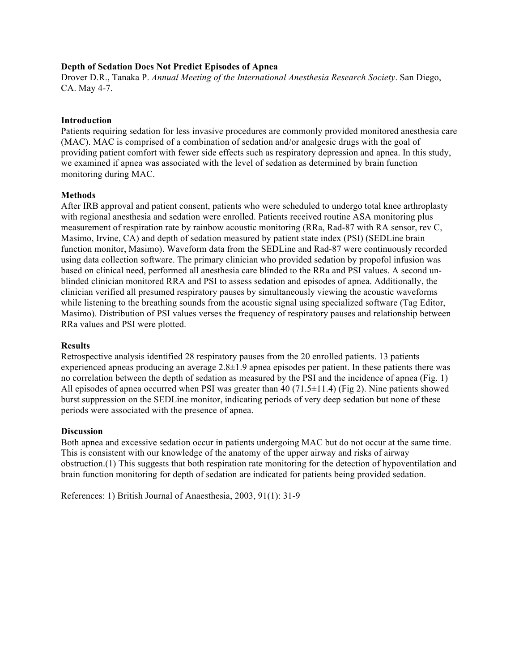### **Depth of Sedation Does Not Predict Episodes of Apnea**

Drover D.R., Tanaka P. *Annual Meeting of the International Anesthesia Research Society*. San Diego, CA. May 4-7.

#### **Introduction**

Patients requiring sedation for less invasive procedures are commonly provided monitored anesthesia care (MAC). MAC is comprised of a combination of sedation and/or analgesic drugs with the goal of providing patient comfort with fewer side effects such as respiratory depression and apnea. In this study, we examined if apnea was associated with the level of sedation as determined by brain function monitoring during MAC.

# **Methods**

After IRB approval and patient consent, patients who were scheduled to undergo total knee arthroplasty with regional anesthesia and sedation were enrolled. Patients received routine ASA monitoring plus measurement of respiration rate by rainbow acoustic monitoring (RRa, Rad-87 with RA sensor, rev C, Masimo, Irvine, CA) and depth of sedation measured by patient state index (PSI) (SEDLine brain function monitor, Masimo). Waveform data from the SEDLine and Rad-87 were continuously recorded using data collection software. The primary clinician who provided sedation by propofol infusion was based on clinical need, performed all anesthesia care blinded to the RRa and PSI values. A second unblinded clinician monitored RRA and PSI to assess sedation and episodes of apnea. Additionally, the clinician verified all presumed respiratory pauses by simultaneously viewing the acoustic waveforms while listening to the breathing sounds from the acoustic signal using specialized software (Tag Editor, Masimo). Distribution of PSI values verses the frequency of respiratory pauses and relationship between RRa values and PSI were plotted.

# **Results**

Retrospective analysis identified 28 respiratory pauses from the 20 enrolled patients. 13 patients experienced apneas producing an average  $2.8\pm1.9$  apnea episodes per patient. In these patients there was no correlation between the depth of sedation as measured by the PSI and the incidence of apnea (Fig. 1) All episodes of apnea occurred when PSI was greater than  $40$  (71.5 $\pm$ 11.4) (Fig 2). Nine patients showed burst suppression on the SEDLine monitor, indicating periods of very deep sedation but none of these periods were associated with the presence of apnea.

#### **Discussion**

Both apnea and excessive sedation occur in patients undergoing MAC but do not occur at the same time. This is consistent with our knowledge of the anatomy of the upper airway and risks of airway obstruction.(1) This suggests that both respiration rate monitoring for the detection of hypoventilation and brain function monitoring for depth of sedation are indicated for patients being provided sedation.

References: 1) British Journal of Anaesthesia, 2003, 91(1): 31-9